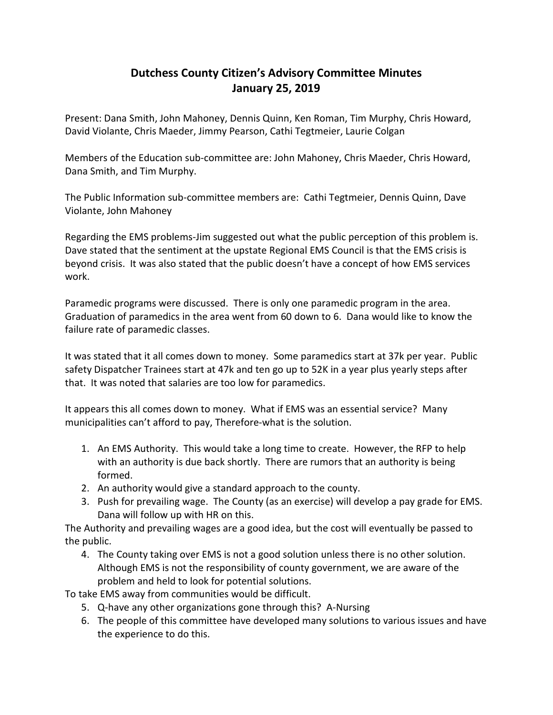## **Dutchess County Citizen's Advisory Committee Minutes January 25, 2019**

Present: Dana Smith, John Mahoney, Dennis Quinn, Ken Roman, Tim Murphy, Chris Howard, David Violante, Chris Maeder, Jimmy Pearson, Cathi Tegtmeier, Laurie Colgan

Members of the Education sub-committee are: John Mahoney, Chris Maeder, Chris Howard, Dana Smith, and Tim Murphy.

The Public Information sub-committee members are: Cathi Tegtmeier, Dennis Quinn, Dave Violante, John Mahoney

Regarding the EMS problems-Jim suggested out what the public perception of this problem is. Dave stated that the sentiment at the upstate Regional EMS Council is that the EMS crisis is beyond crisis. It was also stated that the public doesn't have a concept of how EMS services work.

Paramedic programs were discussed. There is only one paramedic program in the area. Graduation of paramedics in the area went from 60 down to 6. Dana would like to know the failure rate of paramedic classes.

It was stated that it all comes down to money. Some paramedics start at 37k per year. Public safety Dispatcher Trainees start at 47k and ten go up to 52K in a year plus yearly steps after that. It was noted that salaries are too low for paramedics.

It appears this all comes down to money. What if EMS was an essential service? Many municipalities can't afford to pay, Therefore-what is the solution.

- 1. An EMS Authority. This would take a long time to create. However, the RFP to help with an authority is due back shortly. There are rumors that an authority is being formed.
- 2. An authority would give a standard approach to the county.
- 3. Push for prevailing wage. The County (as an exercise) will develop a pay grade for EMS. Dana will follow up with HR on this.

The Authority and prevailing wages are a good idea, but the cost will eventually be passed to the public.

4. The County taking over EMS is not a good solution unless there is no other solution. Although EMS is not the responsibility of county government, we are aware of the problem and held to look for potential solutions.

To take EMS away from communities would be difficult.

- 5. Q-have any other organizations gone through this? A-Nursing
- 6. The people of this committee have developed many solutions to various issues and have the experience to do this.